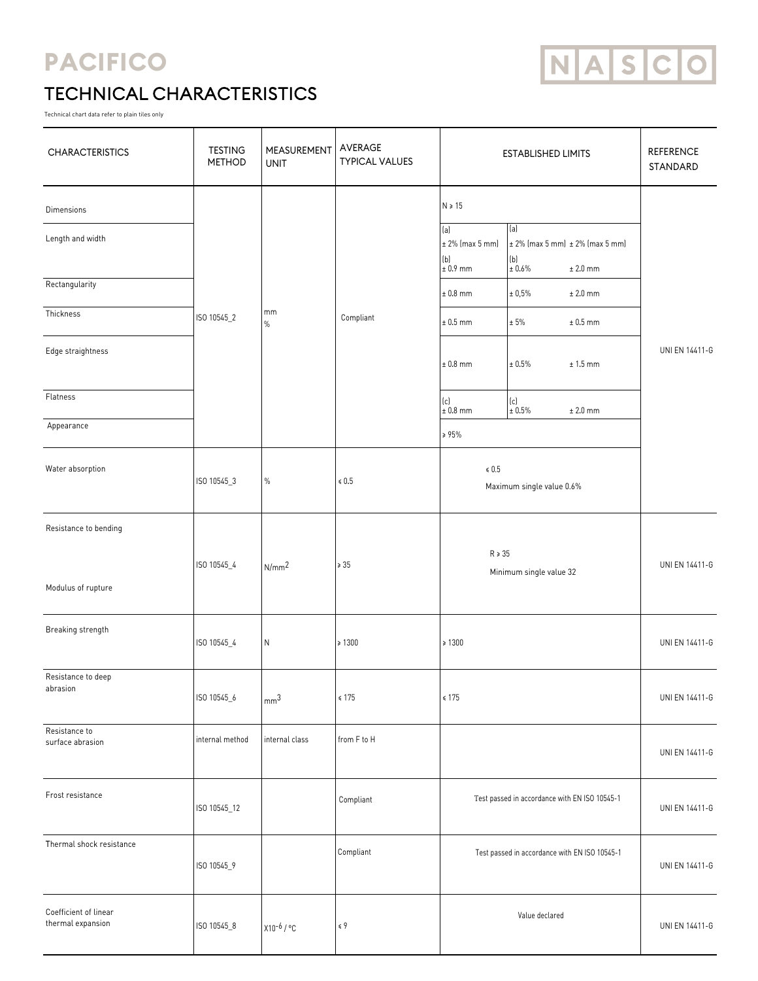## **PACIFICO**



## TECHNICAL CHARACTERISTICS

Technical chart data refer to plain tiles only

| <b>CHARACTERISTICS</b>                      | <b>TESTING</b><br><b>METHOD</b> | MEASUREMENT<br><b>UNIT</b> | AVERAGE<br><b>TYPICAL VALUES</b> | <b>ESTABLISHED LIMITS</b>                                                           |                                                     | <b>REFERENCE</b><br>STANDARD |
|---------------------------------------------|---------------------------------|----------------------------|----------------------------------|-------------------------------------------------------------------------------------|-----------------------------------------------------|------------------------------|
| <b>Dimensions</b><br>Length and width       |                                 |                            |                                  | $N \ge 15$<br> a <br>$\pm 2\%$ (max 5 mm)<br>(b)                                    | (a)<br>$± 2\%$ (max 5 mm) $± 2\%$ (max 5 mm)<br>(b) |                              |
| Rectangularity                              |                                 |                            |                                  | $\pm 0.9$ mm<br>$± 0.8$ mm                                                          | ± 0.6%<br>$± 2.0$ mm<br>$± 2.0$ mm<br>$\pm$ 0,5%    |                              |
| Thickness                                   | ISO 10545_2                     | mm<br>$\%$                 | Compliant                        | $± 0.5$ mm                                                                          | ± 5%<br>$± 0.5$ mm                                  | UNI EN 14411-G               |
| Edge straightness                           |                                 |                            |                                  | $± 0.8$ mm                                                                          | $\pm$ 0.5%<br>$± 1.5$ mm                            |                              |
| Flatness                                    |                                 |                            |                                  | $\left  \begin{smallmatrix} \text{(c)}\\ \text{t} \end{smallmatrix} \right $ 0.8 mm | $ c $<br>± 0.5%<br>$± 2.0$ mm                       |                              |
| Appearance                                  |                                 |                            |                                  | $\geq 95\%$                                                                         |                                                     |                              |
| Water absorption                            | ISO 10545_3                     | $\%$                       | $\le 0.5$                        | $\le 0.5$<br>Maximum single value 0.6%                                              |                                                     |                              |
| Resistance to bending<br>Modulus of rupture | ISO 10545_4                     | N/mm <sup>2</sup>          | $\geqslant$ 35                   | $R \ge 35$<br>Minimum single value 32                                               |                                                     | UNI EN 14411-G               |
| Breaking strength                           | ISO 10545_4                     | N                          | $\ge 1300$                       | $\geq 1300$                                                                         |                                                     | UNI EN 14411-G               |
| Resistance to deep<br>abrasion              | ISO 10545_6                     | mm <sup>3</sup>            | $\leq 175$                       | $\leq 175$                                                                          |                                                     | <b>UNI EN 14411-G</b>        |
| Resistance to<br>surface abrasion           | internal method                 | internal class             | from F to H                      |                                                                                     |                                                     | <b>UNI EN 14411-G</b>        |
| Frost resistance                            | ISO 10545_12                    |                            | Compliant                        | Test passed in accordance with EN ISO 10545-1                                       |                                                     | <b>UNI EN 14411-G</b>        |
| Thermal shock resistance                    | ISO 10545_9                     |                            | Compliant                        | Test passed in accordance with EN ISO 10545-1                                       |                                                     | <b>UNI EN 14411-G</b>        |
| Coefficient of linear<br>thermal expansion  | ISO 10545_8                     | X10-6 / °C                 | $\leq 9$                         | Value declared                                                                      |                                                     | <b>UNI EN 14411-G</b>        |